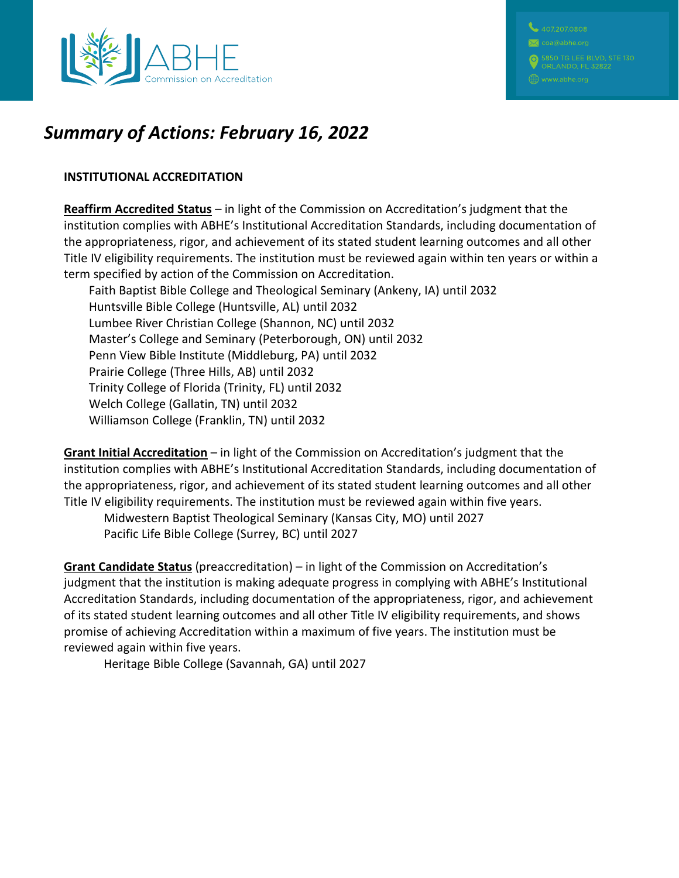



# *Summary of Actions: February 16, 2022*

#### **INSTITUTIONAL ACCREDITATION**

**Reaffirm Accredited Status** – in light of the Commission on Accreditation's judgment that the institution complies with ABHE's Institutional Accreditation Standards, including documentation of the appropriateness, rigor, and achievement of its stated student learning outcomes and all other Title IV eligibility requirements. The institution must be reviewed again within ten years or within a term specified by action of the Commission on Accreditation.

Faith Baptist Bible College and Theological Seminary (Ankeny, IA) until 2032 Huntsville Bible College (Huntsville, AL) until 2032 Lumbee River Christian College (Shannon, NC) until 2032 Master's College and Seminary (Peterborough, ON) until 2032 Penn View Bible Institute (Middleburg, PA) until 2032 Prairie College (Three Hills, AB) until 2032 Trinity College of Florida (Trinity, FL) until 2032 Welch College (Gallatin, TN) until 2032 Williamson College (Franklin, TN) until 2032

**Grant Initial Accreditation** – in light of the Commission on Accreditation's judgment that the institution complies with ABHE's Institutional Accreditation Standards, including documentation of the appropriateness, rigor, and achievement of its stated student learning outcomes and all other Title IV eligibility requirements. The institution must be reviewed again within five years.

Midwestern Baptist Theological Seminary (Kansas City, MO) until 2027 Pacific Life Bible College (Surrey, BC) until 2027

**Grant Candidate Status** (preaccreditation) – in light of the Commission on Accreditation's judgment that the institution is making adequate progress in complying with ABHE's Institutional Accreditation Standards, including documentation of the appropriateness, rigor, and achievement of its stated student learning outcomes and all other Title IV eligibility requirements, and shows promise of achieving Accreditation within a maximum of five years. The institution must be reviewed again within five years.

Heritage Bible College (Savannah, GA) until 2027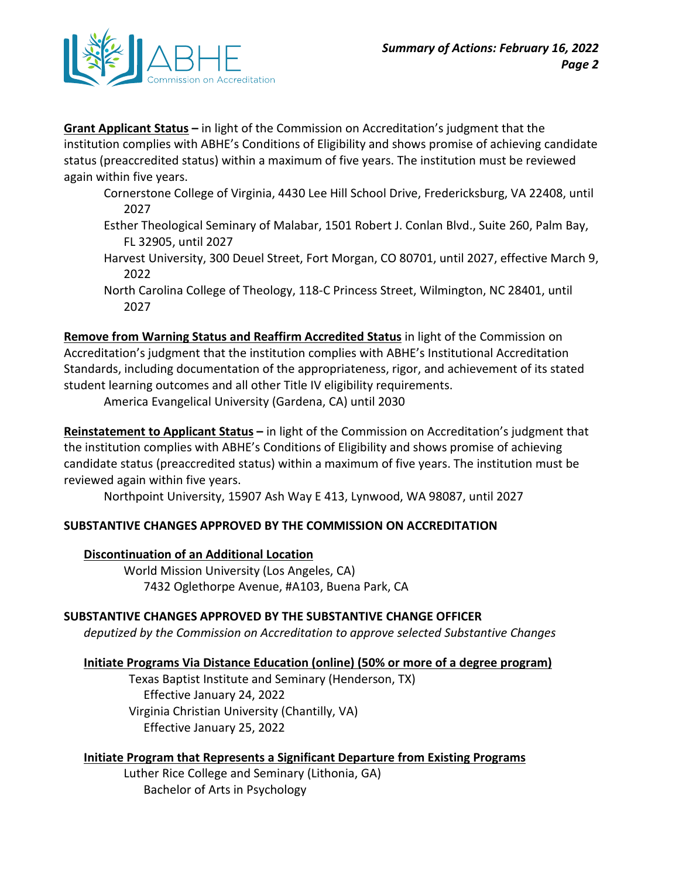

**Grant Applicant Status –** in light of the Commission on Accreditation's judgment that the institution complies with ABHE's Conditions of Eligibility and shows promise of achieving candidate status (preaccredited status) within a maximum of five years. The institution must be reviewed again within five years.

- Cornerstone College of Virginia, 4430 Lee Hill School Drive, Fredericksburg, VA 22408, until 2027
- Esther Theological Seminary of Malabar, 1501 Robert J. Conlan Blvd., Suite 260, Palm Bay, FL 32905, until 2027
- Harvest University, 300 Deuel Street, Fort Morgan, CO 80701, until 2027, effective March 9, 2022
- North Carolina College of Theology, 118-C Princess Street, Wilmington, NC 28401, until 2027

**Remove from Warning Status and Reaffirm Accredited Status** in light of the Commission on Accreditation's judgment that the institution complies with ABHE's Institutional Accreditation Standards, including documentation of the appropriateness, rigor, and achievement of its stated student learning outcomes and all other Title IV eligibility requirements.

America Evangelical University (Gardena, CA) until 2030

**Reinstatement to Applicant Status –** in light of the Commission on Accreditation's judgment that the institution complies with ABHE's Conditions of Eligibility and shows promise of achieving candidate status (preaccredited status) within a maximum of five years. The institution must be reviewed again within five years.

Northpoint University, 15907 Ash Way E 413, Lynwood, WA 98087, until 2027

## **SUBSTANTIVE CHANGES APPROVED BY THE COMMISSION ON ACCREDITATION**

## **Discontinuation of an Additional Location**

World Mission University (Los Angeles, CA) 7432 Oglethorpe Avenue, #A103, Buena Park, CA

## **SUBSTANTIVE CHANGES APPROVED BY THE SUBSTANTIVE CHANGE OFFICER**

*deputized by the Commission on Accreditation to approve selected Substantive Changes*

#### **Initiate Programs Via Distance Education (online) (50% or more of a degree program)**

Texas Baptist Institute and Seminary (Henderson, TX) Effective January 24, 2022 Virginia Christian University (Chantilly, VA) Effective January 25, 2022

#### **Initiate Program that Represents a Significant Departure from Existing Programs**

Luther Rice College and Seminary (Lithonia, GA) Bachelor of Arts in Psychology